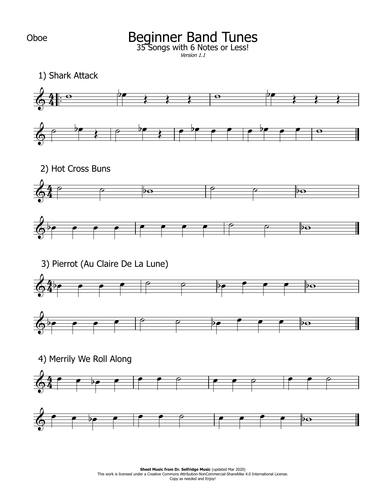## Beginner Band Tunes 35 Songs with 6 Notes or Less!

Version 1.1

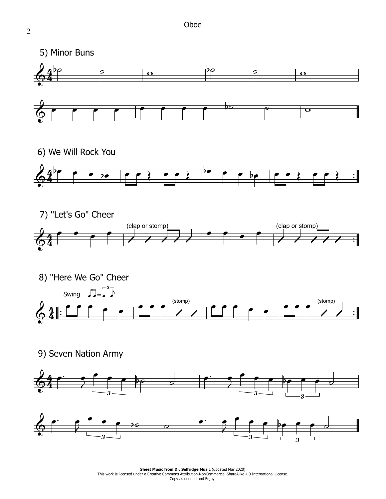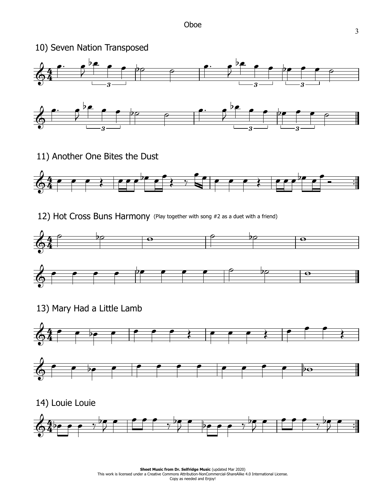

11) Another One Bites the Dust



12) Hot Cross Buns Harmony (Play together with song #2 as <sup>a</sup> duet with <sup>a</sup> friend)



13) Mary Had a Little Lamb



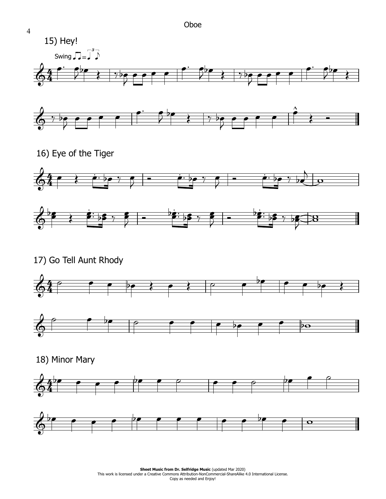



16) Eye of the Tiger





17) Go Tell Aunt Rhody





18) Minor Mary



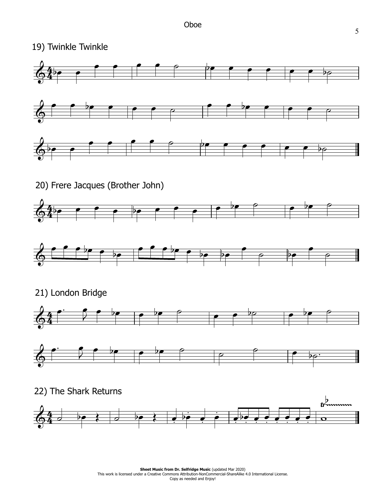

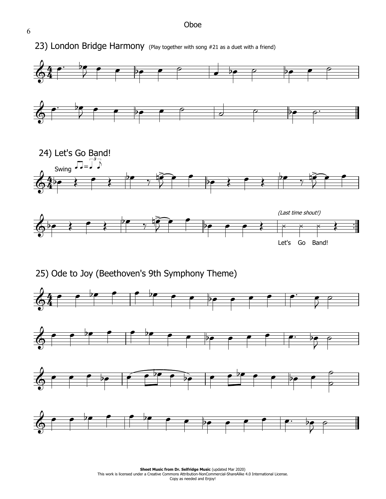

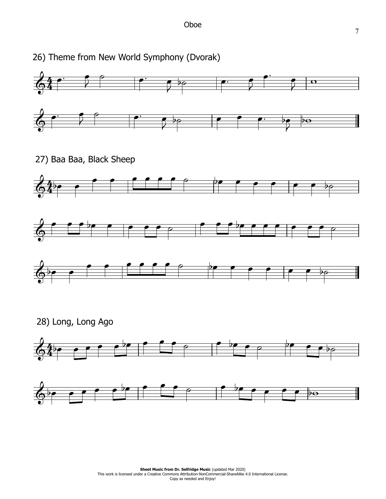

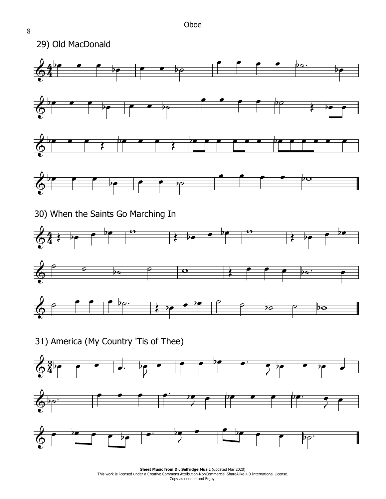